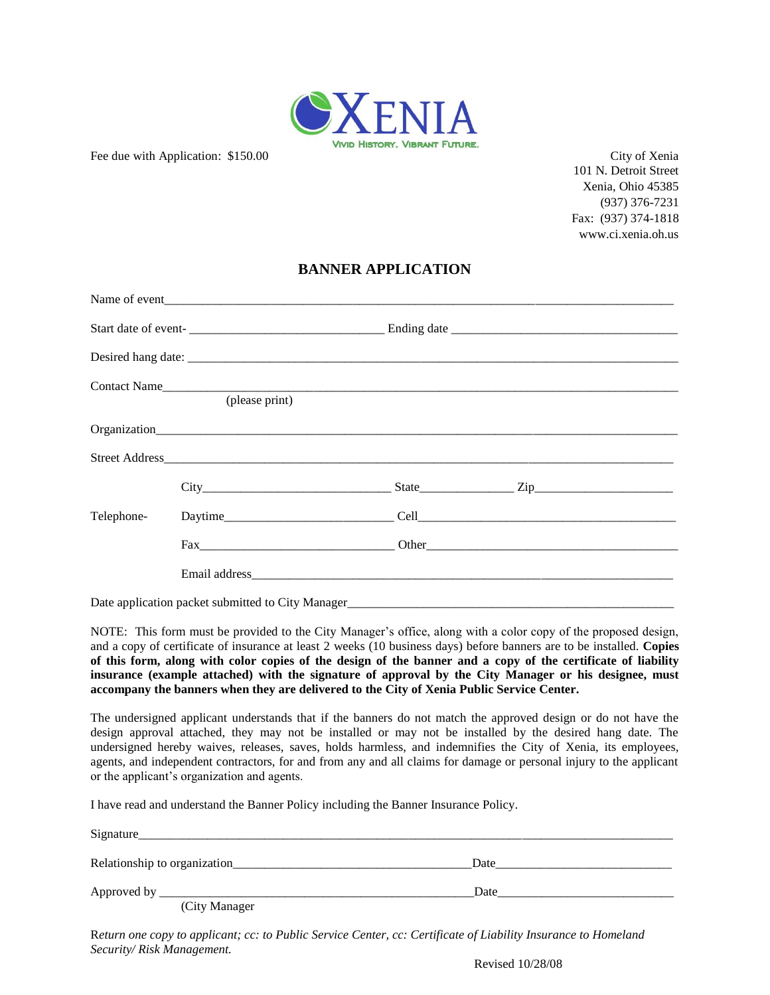

Fee due with Application: \$150.00 City of Xenia

101 N. Detroit Street Xenia, Ohio 45385 (937) 376-7231 Fax: (937) 374-1818 www.ci.xenia.oh.us

# **BANNER APPLICATION**

|            | Contact Name<br>(please print) |                  |
|------------|--------------------------------|------------------|
|            |                                |                  |
|            |                                |                  |
|            |                                |                  |
|            |                                |                  |
| Telephone- |                                | $Daytime$ $Cell$ |
|            |                                |                  |
|            |                                |                  |

Date application packet submitted to City Manager\_\_\_\_\_\_\_\_\_\_\_\_\_\_\_\_\_\_\_\_\_\_\_\_\_\_\_\_\_\_\_\_\_\_\_\_\_\_\_\_\_\_\_\_\_\_\_\_\_\_\_\_

NOTE: This form must be provided to the City Manager's office, along with a color copy of the proposed design, and a copy of certificate of insurance at least 2 weeks (10 business days) before banners are to be installed. **Copies of this form, along with color copies of the design of the banner and a copy of the certificate of liability insurance (example attached) with the signature of approval by the City Manager or his designee, must accompany the banners when they are delivered to the City of Xenia Public Service Center.**

The undersigned applicant understands that if the banners do not match the approved design or do not have the design approval attached, they may not be installed or may not be installed by the desired hang date. The undersigned hereby waives, releases, saves, holds harmless, and indemnifies the City of Xenia, its employees, agents, and independent contractors, for and from any and all claims for damage or personal injury to the applicant or the applicant's organization and agents.

I have read and understand the Banner Policy including the Banner Insurance Policy.

| Signature                    |      |  |
|------------------------------|------|--|
| Relationship to organization | Date |  |
| Approved by                  | Date |  |
| (City Manager                |      |  |

R*eturn one copy to applicant; cc: to Public Service Center, cc: Certificate of Liability Insurance to Homeland Security/ Risk Management.* 

Revised 10/28/08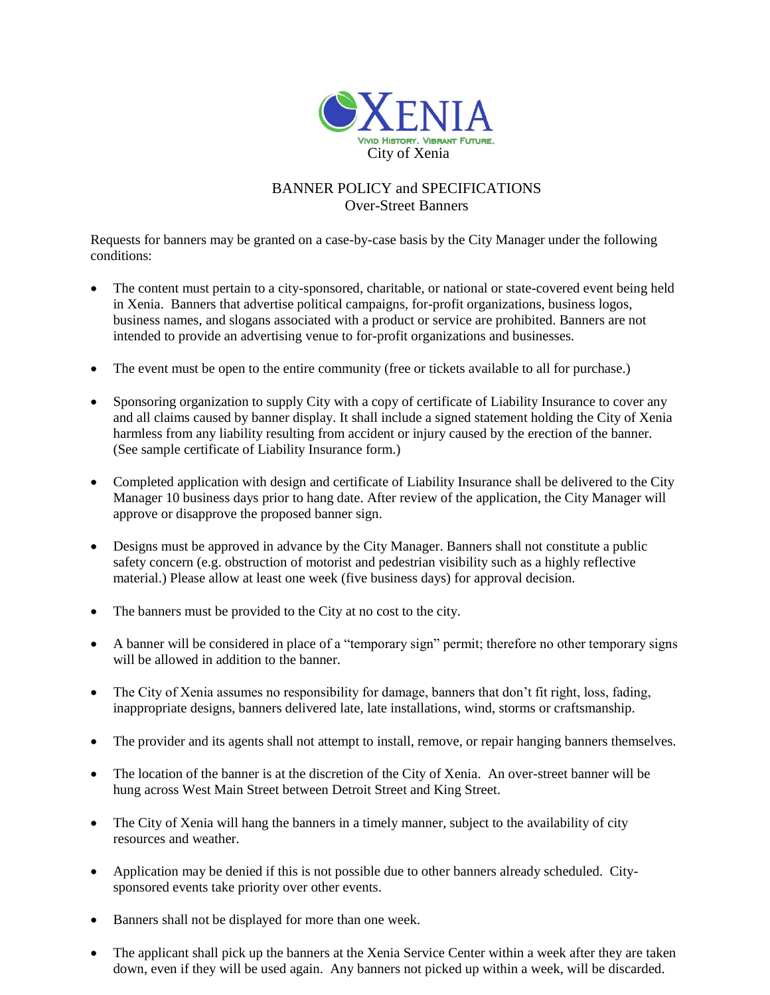

# BANNER POLICY and SPECIFICATIONS Over-Street Banners

Requests for banners may be granted on a case-by-case basis by the City Manager under the following conditions:

- The content must pertain to a city-sponsored, charitable, or national or state-covered event being held in Xenia. Banners that advertise political campaigns, for-profit organizations, business logos, business names, and slogans associated with a product or service are prohibited. Banners are not intended to provide an advertising venue to for-profit organizations and businesses.
- The event must be open to the entire community (free or tickets available to all for purchase.)
- Sponsoring organization to supply City with a copy of certificate of Liability Insurance to cover any and all claims caused by banner display. It shall include a signed statement holding the City of Xenia harmless from any liability resulting from accident or injury caused by the erection of the banner. (See sample certificate of Liability Insurance form.)
- Completed application with design and certificate of Liability Insurance shall be delivered to the City Manager 10 business days prior to hang date. After review of the application, the City Manager will approve or disapprove the proposed banner sign.
- Designs must be approved in advance by the City Manager. Banners shall not constitute a public safety concern (e.g. obstruction of motorist and pedestrian visibility such as a highly reflective material.) Please allow at least one week (five business days) for approval decision.
- The banners must be provided to the City at no cost to the city.
- A banner will be considered in place of a "temporary sign" permit; therefore no other temporary signs will be allowed in addition to the banner.
- The City of Xenia assumes no responsibility for damage, banners that don't fit right, loss, fading, inappropriate designs, banners delivered late, late installations, wind, storms or craftsmanship.
- The provider and its agents shall not attempt to install, remove, or repair hanging banners themselves.
- The location of the banner is at the discretion of the City of Xenia. An over-street banner will be hung across West Main Street between Detroit Street and King Street.
- The City of Xenia will hang the banners in a timely manner, subject to the availability of city resources and weather.
- Application may be denied if this is not possible due to other banners already scheduled. Citysponsored events take priority over other events.
- Banners shall not be displayed for more than one week.
- The applicant shall pick up the banners at the Xenia Service Center within a week after they are taken down, even if they will be used again. Any banners not picked up within a week, will be discarded.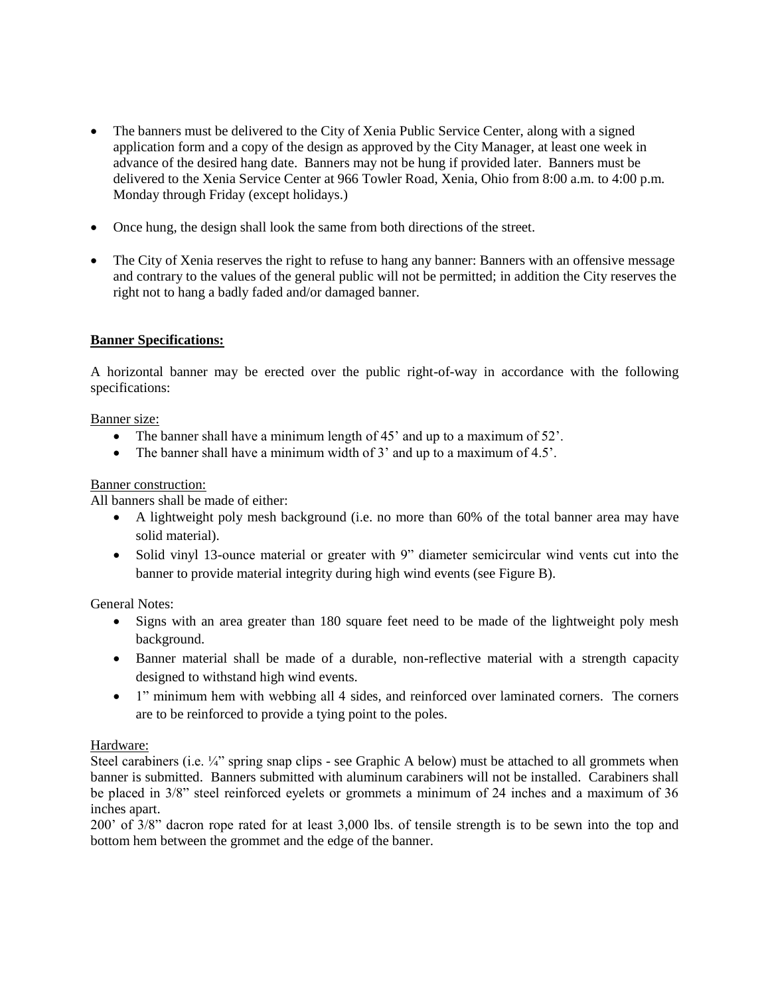- The banners must be delivered to the City of Xenia Public Service Center, along with a signed application form and a copy of the design as approved by the City Manager, at least one week in advance of the desired hang date. Banners may not be hung if provided later. Banners must be delivered to the Xenia Service Center at 966 Towler Road, Xenia, Ohio from 8:00 a.m. to 4:00 p.m. Monday through Friday (except holidays.)
- Once hung, the design shall look the same from both directions of the street.
- The City of Xenia reserves the right to refuse to hang any banner: Banners with an offensive message and contrary to the values of the general public will not be permitted; in addition the City reserves the right not to hang a badly faded and/or damaged banner.

## **Banner Specifications:**

A horizontal banner may be erected over the public right-of-way in accordance with the following specifications:

#### Banner size:

- The banner shall have a minimum length of 45' and up to a maximum of 52'.
- The banner shall have a minimum width of 3' and up to a maximum of 4.5'.

### Banner construction:

All banners shall be made of either:

- A lightweight poly mesh background (i.e. no more than 60% of the total banner area may have solid material).
- Solid vinyl 13-ounce material or greater with 9" diameter semicircular wind vents cut into the banner to provide material integrity during high wind events (see Figure B).

General Notes:

- Signs with an area greater than 180 square feet need to be made of the lightweight poly mesh background.
- Banner material shall be made of a durable, non-reflective material with a strength capacity designed to withstand high wind events.
- 1" minimum hem with webbing all 4 sides, and reinforced over laminated corners. The corners are to be reinforced to provide a tying point to the poles.

## Hardware:

Steel carabiners (i.e.  $\frac{1}{4}$ " spring snap clips - see Graphic A below) must be attached to all grommets when banner is submitted. Banners submitted with aluminum carabiners will not be installed. Carabiners shall be placed in 3/8" steel reinforced eyelets or grommets a minimum of 24 inches and a maximum of 36 inches apart.

200' of 3/8" dacron rope rated for at least 3,000 lbs. of tensile strength is to be sewn into the top and bottom hem between the grommet and the edge of the banner.